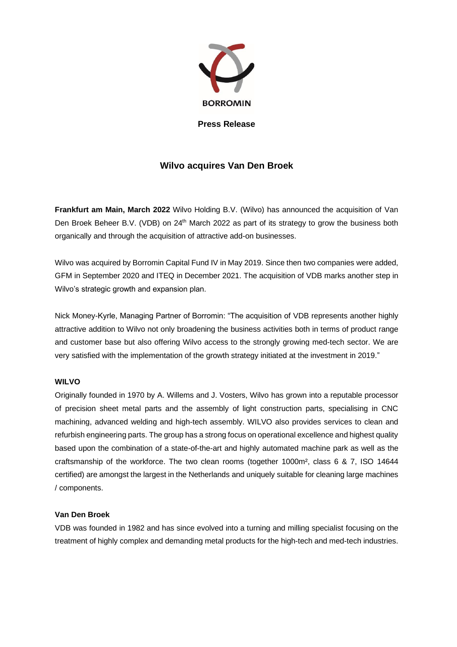

**Press Release**

# **Wilvo acquires Van Den Broek**

**Frankfurt am Main, March 2022** Wilvo Holding B.V. (Wilvo) has announced the acquisition of Van Den Broek Beheer B.V. (VDB) on 24<sup>th</sup> March 2022 as part of its strategy to grow the business both organically and through the acquisition of attractive add-on businesses.

Wilvo was acquired by Borromin Capital Fund IV in May 2019. Since then two companies were added, GFM in September 2020 and ITEQ in December 2021. The acquisition of VDB marks another step in Wilvo's strategic growth and expansion plan.

Nick Money-Kyrle, Managing Partner of Borromin: "The acquisition of VDB represents another highly attractive addition to Wilvo not only broadening the business activities both in terms of product range and customer base but also offering Wilvo access to the strongly growing med-tech sector. We are very satisfied with the implementation of the growth strategy initiated at the investment in 2019."

# **WILVO**

Originally founded in 1970 by A. Willems and J. Vosters, Wilvo has grown into a reputable processor of precision sheet metal parts and the assembly of light construction parts, specialising in CNC machining, advanced welding and high-tech assembly. WILVO also provides services to clean and refurbish engineering parts. The group has a strong focus on operational excellence and highest quality based upon the combination of a state-of-the-art and highly automated machine park as well as the craftsmanship of the workforce. The two clean rooms (together 1000m², class 6 & 7, ISO 14644 certified) are amongst the largest in the Netherlands and uniquely suitable for cleaning large machines / components.

## **Van Den Broek**

VDB was founded in 1982 and has since evolved into a turning and milling specialist focusing on the treatment of highly complex and demanding metal products for the high-tech and med-tech industries.